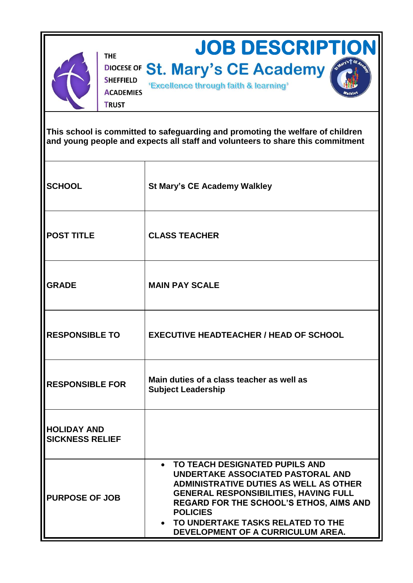

**THE** 

**TRUST** 

DIOCESE OF St. Mary's CE Academy **SHEFFIELD** "Excellence through faith & learning" **ACADEMIES** 

**JOB DESCRIPTION** 

**This school is committed to safeguarding and promoting the welfare of children and young people and expects all staff and volunteers to share this commitment**

| <b>SCHOOL</b>                                | <b>St Mary's CE Academy Walkley</b>                                                                                                                                                                                                                                                                                                           |
|----------------------------------------------|-----------------------------------------------------------------------------------------------------------------------------------------------------------------------------------------------------------------------------------------------------------------------------------------------------------------------------------------------|
| <b>POST TITLE</b>                            | <b>CLASS TEACHER</b>                                                                                                                                                                                                                                                                                                                          |
| <b>GRADE</b>                                 | <b>MAIN PAY SCALE</b>                                                                                                                                                                                                                                                                                                                         |
| <b>RESPONSIBLE TO</b>                        | <b>EXECUTIVE HEADTEACHER / HEAD OF SCHOOL</b>                                                                                                                                                                                                                                                                                                 |
| <b>RESPONSIBLE FOR</b>                       | Main duties of a class teacher as well as<br><b>Subject Leadership</b>                                                                                                                                                                                                                                                                        |
| <b>HOLIDAY AND</b><br><b>SICKNESS RELIEF</b> |                                                                                                                                                                                                                                                                                                                                               |
| <b>PURPOSE OF JOB</b>                        | TO TEACH DESIGNATED PUPILS AND<br>$\bullet$<br>UNDERTAKE ASSOCIATED PASTORAL AND<br><b>ADMINISTRATIVE DUTIES AS WELL AS OTHER</b><br><b>GENERAL RESPONSIBILITIES, HAVING FULL</b><br><b>REGARD FOR THE SCHOOL'S ETHOS, AIMS AND</b><br><b>POLICIES</b><br>TO UNDERTAKE TASKS RELATED TO THE<br>$\bullet$<br>DEVELOPMENT OF A CURRICULUM AREA. |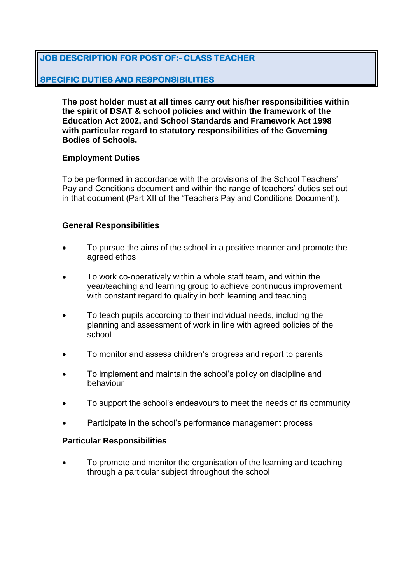# **JOB DESCRIPTION FOR POST OF:- CLASS TEACHER**

## **SPECIFIC DUTIES AND RESPONSIBILITIES**

**The post holder must at all times carry out his/her responsibilities within the spirit of DSAT & school policies and within the framework of the Education Act 2002, and School Standards and Framework Act 1998 with particular regard to statutory responsibilities of the Governing Bodies of Schools.**

#### **Employment Duties**

To be performed in accordance with the provisions of the School Teachers' Pay and Conditions document and within the range of teachers' duties set out in that document (Part XII of the 'Teachers Pay and Conditions Document').

## **General Responsibilities**

- To pursue the aims of the school in a positive manner and promote the agreed ethos
- To work co-operatively within a whole staff team, and within the year/teaching and learning group to achieve continuous improvement with constant regard to quality in both learning and teaching
- To teach pupils according to their individual needs, including the planning and assessment of work in line with agreed policies of the school
- To monitor and assess children's progress and report to parents
- To implement and maintain the school's policy on discipline and behaviour
- To support the school's endeavours to meet the needs of its community
- Participate in the school's performance management process

#### **Particular Responsibilities**

 To promote and monitor the organisation of the learning and teaching through a particular subject throughout the school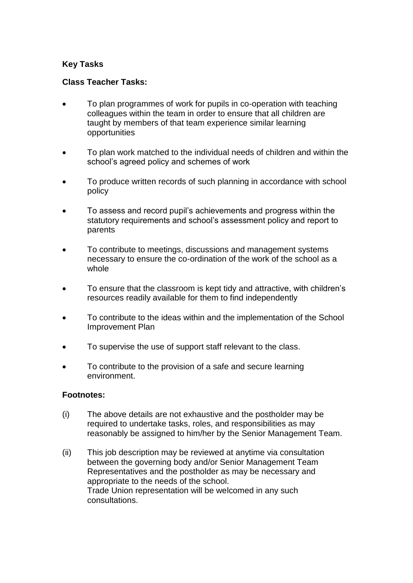## **Key Tasks**

#### **Class Teacher Tasks:**

- To plan programmes of work for pupils in co-operation with teaching colleagues within the team in order to ensure that all children are taught by members of that team experience similar learning opportunities
- To plan work matched to the individual needs of children and within the school's agreed policy and schemes of work
- To produce written records of such planning in accordance with school policy
- To assess and record pupil's achievements and progress within the statutory requirements and school's assessment policy and report to parents
- To contribute to meetings, discussions and management systems necessary to ensure the co-ordination of the work of the school as a whole
- To ensure that the classroom is kept tidy and attractive, with children's resources readily available for them to find independently
- To contribute to the ideas within and the implementation of the School Improvement Plan
- To supervise the use of support staff relevant to the class.
- To contribute to the provision of a safe and secure learning environment.

#### **Footnotes:**

- (i) The above details are not exhaustive and the postholder may be required to undertake tasks, roles, and responsibilities as may reasonably be assigned to him/her by the Senior Management Team.
- (ii) This job description may be reviewed at anytime via consultation between the governing body and/or Senior Management Team Representatives and the postholder as may be necessary and appropriate to the needs of the school. Trade Union representation will be welcomed in any such consultations.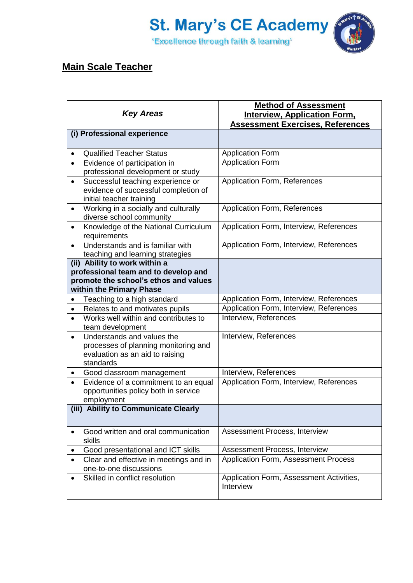

# **Main Scale Teacher**

| <b>Key Areas</b>                                                                                                                           | <b>Method of Assessment</b><br><b>Interview, Application Form,</b><br><b>Assessment Exercises, References</b> |
|--------------------------------------------------------------------------------------------------------------------------------------------|---------------------------------------------------------------------------------------------------------------|
| (i) Professional experience                                                                                                                |                                                                                                               |
| <b>Qualified Teacher Status</b>                                                                                                            | <b>Application Form</b>                                                                                       |
| Evidence of participation in<br>$\bullet$<br>professional development or study                                                             | <b>Application Form</b>                                                                                       |
| Successful teaching experience or<br>$\bullet$<br>evidence of successful completion of<br>initial teacher training                         | Application Form, References                                                                                  |
| Working in a socially and culturally<br>$\bullet$<br>diverse school community                                                              | <b>Application Form, References</b>                                                                           |
| Knowledge of the National Curriculum<br>$\bullet$<br>requirements                                                                          | Application Form, Interview, References                                                                       |
| Understands and is familiar with<br>$\bullet$<br>teaching and learning strategies                                                          | Application Form, Interview, References                                                                       |
| (ii) Ability to work within a<br>professional team and to develop and<br>promote the school's ethos and values<br>within the Primary Phase |                                                                                                               |
| Teaching to a high standard                                                                                                                | Application Form, Interview, References                                                                       |
| Relates to and motivates pupils<br>$\bullet$                                                                                               | Application Form, Interview, References                                                                       |
| Works well within and contributes to<br>$\bullet$<br>team development                                                                      | Interview, References                                                                                         |
| Understands and values the<br>$\bullet$<br>processes of planning monitoring and<br>evaluation as an aid to raising<br>standards            | Interview, References                                                                                         |
| Good classroom management                                                                                                                  | Interview, References                                                                                         |
| Evidence of a commitment to an equal<br>$\bullet$<br>opportunities policy both in service<br>employment                                    | Application Form, Interview, References                                                                       |
| (iii) Ability to Communicate Clearly                                                                                                       |                                                                                                               |
| Good written and oral communication<br>skills                                                                                              | Assessment Process, Interview                                                                                 |
| Good presentational and ICT skills                                                                                                         | Assessment Process, Interview                                                                                 |
| Clear and effective in meetings and in<br>one-to-one discussions                                                                           | Application Form, Assessment Process                                                                          |
| Skilled in conflict resolution                                                                                                             | Application Form, Assessment Activities,<br>Interview                                                         |